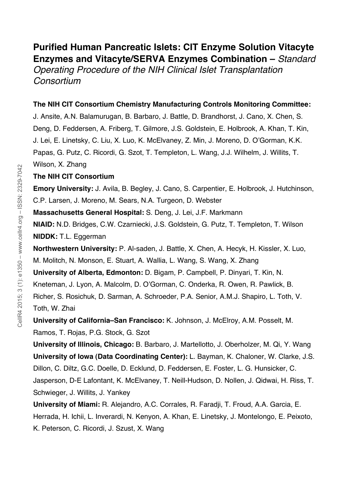# **Purified Human Pancreatic Islets: CIT Enzyme Solution Vitacyte Enzymes and Vitacyte/SERVA Enzymes Combination –** *Standard*

*Operating Procedure of the NIH Clinical Islet Transplantation Consortium*

## **The NIH CIT Consortium Chemistry Manufacturing Controls Monitoring Committee:**

J. Ansite, A.N. Balamurugan, B. Barbaro, J. Battle, D. Brandhorst, J. Cano, X. Chen, S. Deng, D. Feddersen, A. Friberg, T. Gilmore, J.S. Goldstein, E. Holbrook, A. Khan, T. Kin, J. Lei, E. Linetsky, C. Liu, X. Luo, K. McElvaney, Z. Min, J. Moreno, D. O'Gorman, K.K. Papas, G. Putz, C. Ricordi, G. Szot, T. Templeton, L. Wang, J.J. Wilhelm, J. Willits, T. Wilson, X. Zhang

### **The NIH CIT Consortium**

**Emory University:** J. Avila, B. Begley, J. Cano, S. Carpentier, E. Holbrook, J. Hutchinson, C.P. Larsen, J. Moreno, M. Sears, N.A. Turgeon, D. Webster

**Massachusetts General Hospital:** S. Deng, J. Lei, J.F. Markmann **NIAID:** N.D. Bridges, C.W. Czarniecki, J.S. Goldstein, G. Putz, T. Templeton, T. Wilson **NIDDK:** T.L. Eggerman

**Northwestern University:** P. Al-saden, J. Battle, X. Chen, A. Hecyk, H. Kissler, X. Luo, M. Molitch, N. Monson, E. Stuart, A. Wallia, L. Wang, S. Wang, X. Zhang

**University of Alberta, Edmonton:** D. Bigam, P. Campbell, P. Dinyari, T. Kin, N.

Kneteman, J. Lyon, A. Malcolm, D. O'Gorman, C. Onderka, R. Owen, R. Pawlick, B.

Richer, S. Rosichuk, D. Sarman, A. Schroeder, P.A. Senior, A.M.J. Shapiro, L. Toth, V. Toth, W. Zhai

**University of California–San Francisco:** K. Johnson, J. McElroy, A.M. Posselt, M. Ramos, T. Rojas, P.G. Stock, G. Szot

**University of Illinois, Chicago:** B. Barbaro, J. Martellotto, J. Oberholzer, M. Qi, Y. Wang **University of Iowa (Data Coordinating Center):** L. Bayman, K. Chaloner, W. Clarke, J.S. Dillon, C. Diltz, G.C. Doelle, D. Ecklund, D. Feddersen, E. Foster, L. G. Hunsicker, C. Jasperson, D-E Lafontant, K. McElvaney, T. Neill-Hudson, D. Nollen, J. Qidwai, H. Riss, T. Schwieger, J. Willits, J. Yankey

**University of Miami:** R. Alejandro, A.C. Corrales, R. Faradji, T. Froud, A.A. Garcia, E. Herrada, H. Ichii, L. Inverardi, N. Kenyon, A. Khan, E. Linetsky, J. Montelongo, E. Peixoto, K. Peterson, C. Ricordi, J. Szust, X. Wang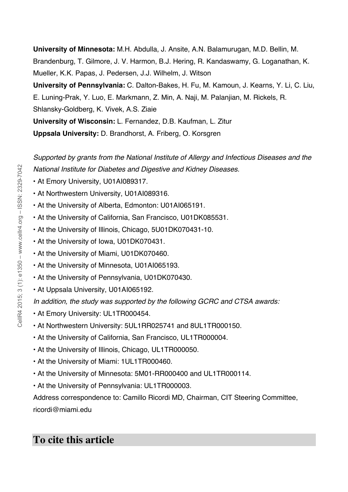**University of Minnesota:** M.H. Abdulla, J. Ansite, A.N. Balamurugan, M.D. Bellin, M. Brandenburg, T. Gilmore, J. V. Harmon, B.J. Hering, R. Kandaswamy, G. Loganathan, K. Mueller, K.K. Papas, J. Pedersen, J.J. Wilhelm, J. Witson **University of Pennsylvania:** C. Dalton-Bakes, H. Fu, M. Kamoun, J. Kearns, Y. Li, C. Liu, E. Luning-Prak, Y. Luo, E. Markmann, Z. Min, A. Naji, M. Palanjian, M. Rickels, R. Shlansky-Goldberg, K. Vivek, A.S. Ziaie **University of Wisconsin:** L. Fernandez, D.B. Kaufman, L. Zitur **Uppsala University:** D. Brandhorst, A. Friberg, O. Korsgren

*Supported by grants from the National Institute of Allergy and Infectious Diseases and the National Institute for Diabetes and Digestive and Kidney Diseases.*

- At Emory University, U01AI089317.
- At Northwestern University, U01AI089316.
- At the University of Alberta, Edmonton: U01AI065191.
- At the University of California, San Francisco, U01DK085531.
- At the University of Illinois, Chicago, 5U01DK070431-10.
- At the University of Iowa, U01DK070431.
- At the University of Miami, U01DK070460.
- At the University of Minnesota, U01AI065193.
- At the University of Pennsylvania, U01DK070430.
- At Uppsala University, U01AI065192.

*In addition, the study was supported by the following GCRC and CTSA awards:*

- At Emory University: UL1TR000454.
- At Northwestern University: 5UL1RR025741 and 8UL1TR000150.
- At the University of California, San Francisco, UL1TR000004.
- At the University of Illinois, Chicago, UL1TR000050.
- At the University of Miami: 1UL1TR000460.
- At the University of Minnesota: 5M01-RR000400 and UL1TR000114.
- At the University of Pennsylvania: UL1TR000003.

Address correspondence to: Camillo Ricordi MD, Chairman, CIT Steering Committee, ricordi@miami.edu

# **To cite this article**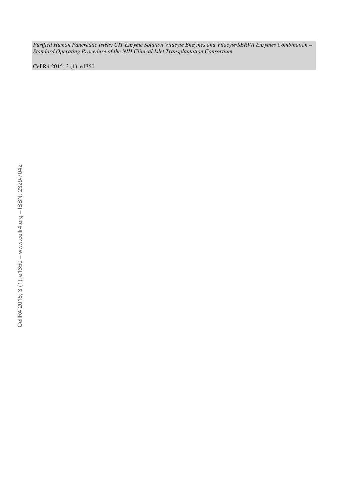*Purified Human Pancreatic Islets: CIT Enzyme Solution Vitacyte Enzymes and Vitacyte/SERVA Enzymes Combination – Standard Operating Procedure of the NIH Clinical Islet Transplantation Consortium*

CellR4 2015; 3 (1): e1350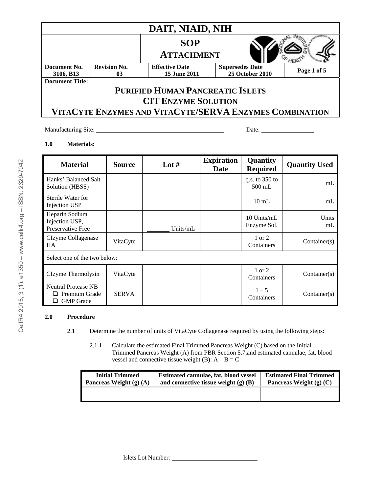| DAIT, NIAID, NIH           |                                         |                                                         |  |                                                  |             |
|----------------------------|-----------------------------------------|---------------------------------------------------------|--|--------------------------------------------------|-------------|
|                            |                                         | <b>SOP</b><br><b>ATTACHMENT</b>                         |  |                                                  |             |
| Document No.<br>3106, B13  | <b>Revision No.</b><br>03               | <b>Effective Date</b><br><b>15 June 2011</b>            |  | <b>Supersedes Date</b><br><b>25 October 2010</b> | Page 1 of 5 |
| <b>Document Title:</b>     |                                         |                                                         |  |                                                  |             |
|                            | <b>PURIFIED HUMAN PANCREATIC ISLETS</b> |                                                         |  |                                                  |             |
| <b>CIT ENZYME SOLUTION</b> |                                         |                                                         |  |                                                  |             |
|                            |                                         | VITACYTE ENZYMES AND VITACYTE/SERVA ENZYMES COMBINATION |  |                                                  |             |

Manufacturing Site: Date: Date:

#### **1.0 Materials:**

| <b>Material</b>                                                      | Source       | Lot $#$  | <b>Expiration</b><br>Date | Quantity<br><b>Required</b>  | <b>Quantity Used</b>    |
|----------------------------------------------------------------------|--------------|----------|---------------------------|------------------------------|-------------------------|
| Hanks' Balanced Salt<br>Solution (HBSS)                              |              |          |                           | q.s. to $350$ to<br>$500$ mL | mL                      |
| Sterile Water for<br>Injection USP                                   |              |          |                           | $10 \text{ mL}$              | m <sub>L</sub>          |
| Heparin Sodium<br>Injection USP,<br>Preservative Free                |              | Units/mL |                           | 10 Units/mL<br>Enzyme Sol.   | Units<br>m <sub>L</sub> |
| CIzyme Collagenase<br><b>HA</b>                                      | VitaCyte     |          |                           | 1 or 2<br>Containers         | Container(s)            |
| Select one of the two below:                                         |              |          |                           |                              |                         |
| CIzyme Thermolysin                                                   | VitaCyte     |          |                           | 1 or 2<br>Containers         | Container(s)            |
| <b>Neutral Protease NB</b><br>Premium Grade<br><b>GMP</b> Grade<br>⊔ | <b>SERVA</b> |          |                           | $1 - 5$<br>Containers        | Container(s)            |

#### **2.0 Procedure**

- 2.1 Determine the number of units of VitaCyte Collagenase required by using the following steps:
	- 2.1.1 Calculate the estimated Final Trimmed Pancreas Weight (C) based on the Initial Trimmed Pancreas Weight (A) from PBR Section 5.7,and estimated cannulae, fat, blood vessel and connective tissue weight (B):  $A - B = C$

| <b>Initial Trimmed</b>    | Estimated cannulae, fat, blood vessel  | <b>Estimated Final Trimmed</b> |
|---------------------------|----------------------------------------|--------------------------------|
| Pancreas Weight (g) $(A)$ | and connective tissue weight $(g)$ (B) | Pancreas Weight (g) $(C)$      |
|                           |                                        |                                |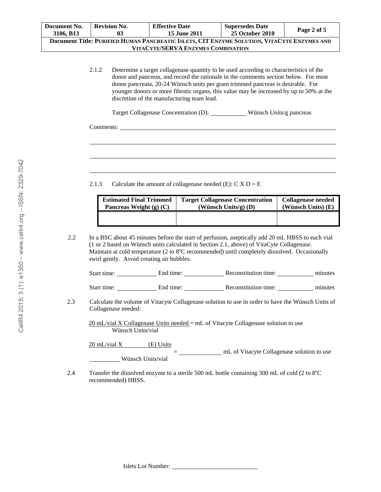| Document No.                                                                                | <b>Revision No.</b> | <b>Effective Date</b> | <b>Supersedes Date</b> | Page 2 of 5 |  |
|---------------------------------------------------------------------------------------------|---------------------|-----------------------|------------------------|-------------|--|
| 3106, B13                                                                                   |                     | <b>15 June 2011</b>   | <b>25 October 2010</b> |             |  |
| Document Title: PURIFIED HUMAN PANCREATIC ISLETS, CIT ENZYME SOLUTION, VITACYTE ENZYMES AND |                     |                       |                        |             |  |
| <b>VITACYTE/SERVA ENZYMES COMBINATION</b>                                                   |                     |                       |                        |             |  |

2.1.2 Determine a target collagenase quantity to be used according to characteristics of the donor and pancreas, and record the rationale in the comments section below. For most donor pancreata, 20-24 Wünsch units per gram trimmed pancreas is desirable. For younger donors or more fibrotic organs, this value may be increased by up to 50% at the discretion of the manufacturing team lead.

Target Collagenase Concentration (D): Wünsch Units/g pancreas

Comments:

 $\overline{a}$ 

2.1.3 Calculate the amount of collagenase needed (E):  $C \times D = E$ 

| <b>Estimated Final Trimmed</b> | <b>Target Collagenase Concentration</b> | Collagenase needed   |
|--------------------------------|-----------------------------------------|----------------------|
| Pancreas Weight $(g)$ $(C)$    | (Wünsch Units/g) $(D)$                  | (Wünsch Units) $(E)$ |
|                                |                                         |                      |

2.2 In a BSC about 45 minutes before the start of perfusion, aseptically add 20 mL HBSS to each vial (1 or 2 based on Wünsch units calculated in Section 2.1, above) of VitaCyte Collagenase. Maintain at cold temperature (2 to 8ºC recommended) until completely dissolved. Occasionally swirl gently. Avoid creating air bubbles.

| Start time: | End time: | Reconstitution time: | minutes |
|-------------|-----------|----------------------|---------|
|             |           |                      |         |

| Start time: | Reconstitution time: |
|-------------|----------------------|
| End time:   | minutes              |

2.3 Calculate the volume of Vitacyte Collagenase solution to use in order to have the Wünsch Units of Collagenase needed:

 $20$  mL/vial  $X$  Collagenase Units needed = mL of Vitacyte Collagenase solution to use Wünsch Units/vial

 $20 \text{ mL}/\text{vial X}$  (E) Units mL of Vitacyte Collagenase solution to use Wünsch Units/vial

2.4 Transfer the dissolved enzyme to a sterile 500 mL bottle containing 300 mL of cold  $(2 \text{ to } 8^{\circ}\text{C})$ recommended) HBSS.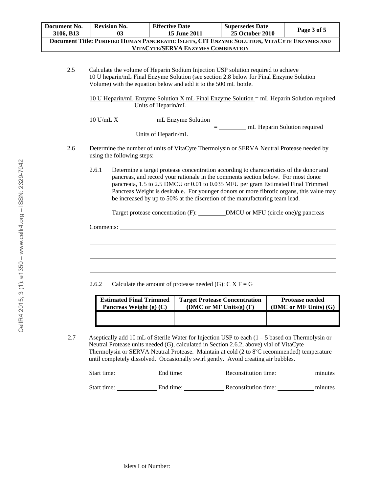| Document No.<br>3106, B13                                                                   | <b>Revision No.</b> | <b>Effective Date</b><br><b>15 June 2011</b> | <b>Supersedes Date</b><br><b>25 October 2010</b> | Page 3 of 5 |  |
|---------------------------------------------------------------------------------------------|---------------------|----------------------------------------------|--------------------------------------------------|-------------|--|
|                                                                                             |                     |                                              |                                                  |             |  |
| Document Title: PURIFIED HUMAN PANCREATIC ISLETS, CIT ENZYME SOLUTION, VITACYTE ENZYMES AND |                     |                                              |                                                  |             |  |
| VITACYTE/SERVA ENZYMES COMBINATION                                                          |                     |                                              |                                                  |             |  |

2.5 Calculate the volume of Heparin Sodium Injection USP solution required to achieve 10 U heparin/mL Final Enzyme Solution (see section 2.8 below for Final Enzyme Solution Volume) with the equation below and add it to the 500 mL bottle.

10 U Heparin/mL Enzyme Solution X mL Final Enzyme Solution = mL Heparin Solution required Units of Heparin/mL

| $10$ U/mL X | mL Enzyme Solution |                              |
|-------------|--------------------|------------------------------|
|             | -- -               | mL Heparin Solution required |

Units of Heparin/mL

- 2.6 Determine the number of units of VitaCyte Thermolysin or SERVA Neutral Protease needed by using the following steps:
	- 2.6.1 Determine a target protease concentration according to characteristics of the donor and pancreas, and record your rationale in the comments section below. For most donor pancreata, 1.5 to 2.5 DMCU or 0.01 to 0.035 MFU per gram Estimated Final Trimmed Pancreas Weight is desirable. For younger donors or more fibrotic organs, this value may be increased by up to 50% at the discretion of the manufacturing team lead.

Target protease concentration (F): DMCU or MFU (circle one)/g pancreas

Comments:

 $\overline{a}$ 

2.6.2 Calculate the amount of protease needed (G):  $C \times F = G$ 

| <b>Estimated Final Trimmed</b> | <b>Target Protease Concentration</b> | <b>Protease needed</b> |
|--------------------------------|--------------------------------------|------------------------|
| Pancreas Weight $(g)$ $(C)$    | (DMC or MF Units/g) $(F)$            | (DMC or MF Units) (G)  |
|                                |                                      |                        |

2.7 Aseptically add 10 mL of Sterile Water for Injection USP to each (1 – 5 based on Thermolysin or Neutral Protease units needed (G), calculated in Section 2.6.2, above) vial of VitaCyte Thermolysin or SERVA Neutral Protease. Maintain at cold (2 to 8°C recommended) temperature until completely dissolved. Occasionally swirl gently. Avoid creating air bubbles.

| Start time: | End time: | Reconstitution time: | minutes |
|-------------|-----------|----------------------|---------|
| Start time: | End time: | Reconstitution time: | minutes |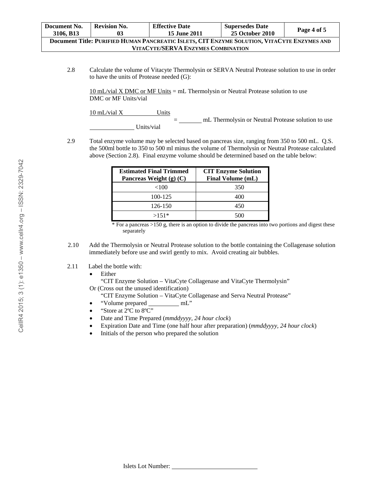| Document No.                                                                                | <b>Revision No.</b> | <b>Effective Date</b> | <b>Supersedes Date</b> | Page 4 of 5 |  |
|---------------------------------------------------------------------------------------------|---------------------|-----------------------|------------------------|-------------|--|
| 3106, B13                                                                                   |                     | <b>15 June 2011</b>   | <b>25 October 2010</b> |             |  |
| Document Title: PURIFIED HUMAN PANCREATIC ISLETS, CIT ENZYME SOLUTION, VITACYTE ENZYMES AND |                     |                       |                        |             |  |
| VITACYTE/SERVA ENZYMES COMBINATION                                                          |                     |                       |                        |             |  |

2.8 Calculate the volume of Vitacyte Thermolysin or SERVA Neutral Protease solution to use in order to have the units of Protease needed (G):

10 mL/vial X DMC or MF Units = mL Thermolysin or Neutral Protease solution to use DMC or MF Units/vial

10 mL/vial X Units

Units/vial

= mL Thermolysin or Neutral Protease solution to use

2.9 Total enzyme volume may be selected based on pancreas size, ranging from 350 to 500 mL. Q.S. the 500ml bottle to 350 to 500 ml minus the volume of Thermolysin or Neutral Protease calculated above (Section 2.8). Final enzyme volume should be determined based on the table below:

| <b>Estimated Final Trimmed</b><br>Pancreas Weight $(g)$ $(C)$ | <b>CIT Enzyme Solution</b><br><b>Final Volume (mL)</b> |
|---------------------------------------------------------------|--------------------------------------------------------|
| ${<}100$                                                      | 350                                                    |
| 100-125                                                       | 400                                                    |
| 126-150                                                       | 450                                                    |
| $>151*$                                                       | 500                                                    |

\* For a pancreas >150 g, there is an option to divide the pancreas into two portions and digest these separately

2.10 Add the Thermolysin or Neutral Protease solution to the bottle containing the Collagenase solution immediately before use and swirl gently to mix. Avoid creating air bubbles.

2.11 Label the bottle with:

• Either

"CIT Enzyme Solution – VitaCyte Collagenase and VitaCyte Thermolysin" Or (Cross out the unused identification)

- "CIT Enzyme Solution VitaCyte Collagenase and Serva Neutral Protease"
- "Volume prepared mL"
- "Store at 2°C to 8°C"
- Date and Time Prepared (*mmddyyyy, 24 hour clock*)
- Expiration Date and Time (one half hour after preparation) (*mmddyyyy, 24 hour clock*)
- Initials of the person who prepared the solution